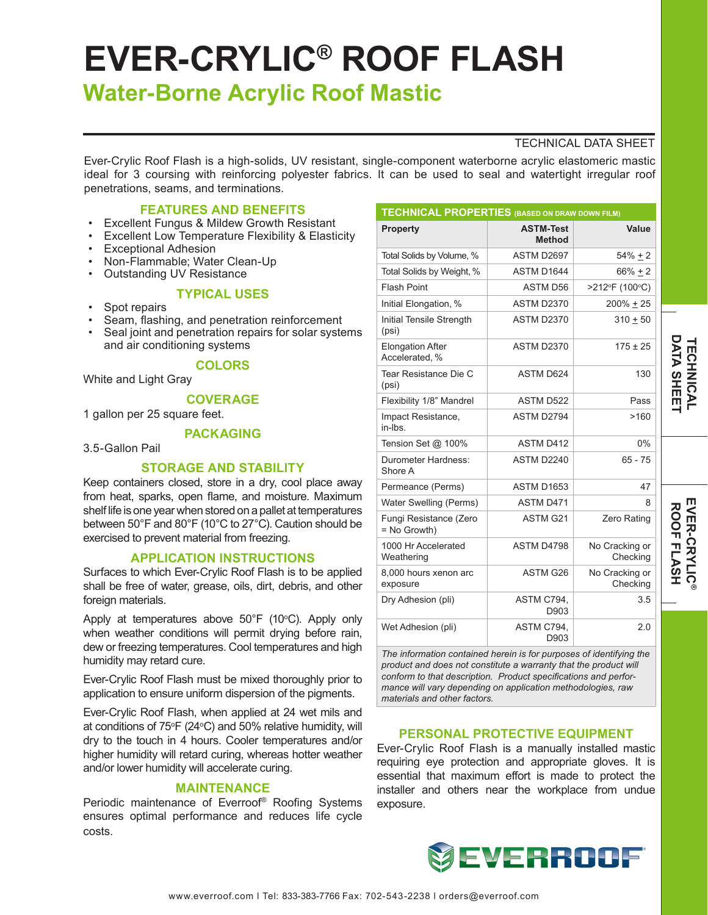# **EVER-CRYLIC® ROOF FLASH**

# **Water-Borne Acrylic Roof Mastic**

# TECHNICAL DATA SHEET

Ever-Crylic Roof Flash is a high-solids, UV resistant, single-component waterborne acrylic elastomeric mastic ideal for 3 coursing with reinforcing polyester fabrics. It can be used to seal and watertight irregular roof penetrations, seams, and terminations.

# **FEATURES AND BENEFITS**

- Excellent Fungus & Mildew Growth Resistant
- **Excellent Low Temperature Flexibility & Elasticity**
- Exceptional Adhesion
- Non-Flammable; Water Clean-Up
- Outstanding UV Resistance

#### **TYPICAL USES**

- Spot repairs
- Seam, flashing, and penetration reinforcement
- Seal joint and penetration repairs for solar systems and air conditioning systems

# **COLORS**

White and Light Gray

**COVERAGE**

1 gallon per 25 square feet.

### **PACKAGING**

3.5-Gallon Pail

# **STORAGE AND STABILITY**

Keep containers closed, store in a dry, cool place away from heat, sparks, open flame, and moisture. Maximum shelf life is one year when stored on a pallet at temperatures between 50°F and 80°F (10°C to 27°C). Caution should be exercised to prevent material from freezing.

#### **APPLICATION INSTRUCTIONS**

Surfaces to which Ever-Crylic Roof Flash is to be applied shall be free of water, grease, oils, dirt, debris, and other foreign materials.

Apply at temperatures above  $50^{\circ}$ F (10 $^{\circ}$ C). Apply only when weather conditions will permit drying before rain, dew or freezing temperatures. Cool temperatures and high humidity may retard cure.

Ever-Crylic Roof Flash must be mixed thoroughly prior to application to ensure uniform dispersion of the pigments.

Ever-Crylic Roof Flash, when applied at 24 wet mils and at conditions of 75°F (24°C) and 50% relative humidity, will dry to the touch in 4 hours. Cooler temperatures and/or higher humidity will retard curing, whereas hotter weather and/or lower humidity will accelerate curing.

# **MAINTENANCE**

Periodic maintenance of Everroof® Roofing Systems ensures optimal performance and reduces life cycle costs.

| <b>TECHNICAL PROPERTIES (BASED ON DRAW DOWN FILM)</b> |                                   |                            |
|-------------------------------------------------------|-----------------------------------|----------------------------|
| <b>Property</b>                                       | <b>ASTM-Test</b><br><b>Method</b> | Value                      |
| Total Solids by Volume, %                             | ASTM D2697                        | $54% + 2$                  |
| Total Solids by Weight, %                             | ASTM D1644                        | $66\% \pm 2$               |
| <b>Flash Point</b>                                    | <b>ASTM D56</b>                   | >212°F (100°C)             |
| Initial Elongation, %                                 | <b>ASTM D2370</b>                 | 200% + 25                  |
| Initial Tensile Strength<br>(psi)                     | ASTM D2370                        | $310 + 50$                 |
| <b>Elongation After</b><br>Accelerated. %             | ASTM D2370                        | $175 \pm 25$               |
| Tear Resistance Die C<br>(psi)                        | <b>ASTM D624</b>                  | 130                        |
| Flexibility 1/8" Mandrel                              | <b>ASTM D522</b>                  | Pass                       |
| Impact Resistance,<br>in-lbs                          | ASTM D2794                        | >160                       |
| Tension Set @ 100%                                    | <b>ASTM D412</b>                  | $0\%$                      |
| Durometer Hardness:<br>Shore A                        | ASTM D2240                        | $65 - 75$                  |
| Permeance (Perms)                                     | ASTM D1653                        | 47                         |
| Water Swelling (Perms)                                | ASTM D471                         | 8                          |
| Fungi Resistance (Zero<br>= No Growth)                | ASTM G21                          | Zero Rating                |
| 1000 Hr Accelerated<br>Weathering                     | ASTM D4798                        | No Cracking or<br>Checking |
| 8,000 hours xenon arc<br>exposure                     | ASTM G26                          | No Cracking or<br>Checking |
| Dry Adhesion (pli)                                    | ASTM C794,<br>D903                | 3.5                        |
| Wet Adhesion (pli)                                    | ASTM C794.<br>D903                | 2.0                        |

*The information contained herein is for purposes of identifying the product and does not constitute a warranty that the product will conform to that description. Product specifications and performance will vary depending on application methodologies, raw materials and other factors.*

#### **PERSONAL PROTECTIVE EQUIPMENT**

Ever-Crylic Roof Flash is a manually installed mastic requiring eye protection and appropriate gloves. It is essential that maximum effort is made to protect the installer and others near the workplace from undue exposure.



**EVER-CRYLIC EVER-CRYLIC®**<br>ROOF FLASH **ROOF FLASH**